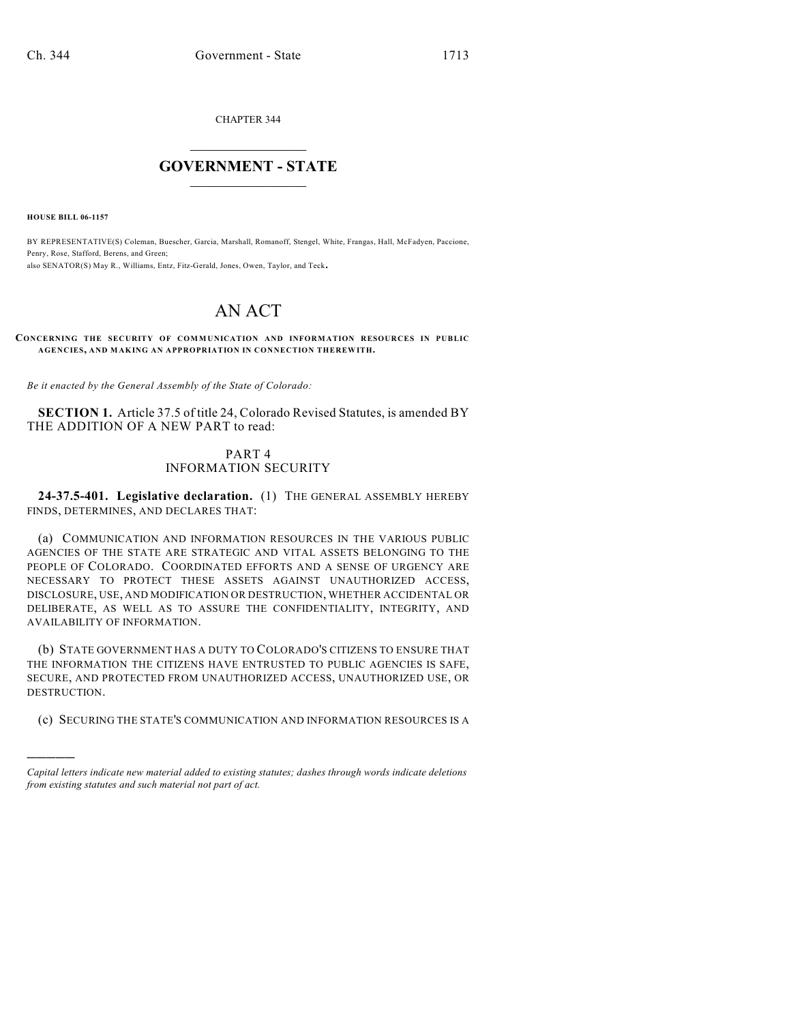CHAPTER 344

## $\overline{\phantom{a}}$  . The set of the set of the set of the set of the set of the set of the set of the set of the set of the set of the set of the set of the set of the set of the set of the set of the set of the set of the set o **GOVERNMENT - STATE**  $\_$

**HOUSE BILL 06-1157**

)))))

BY REPRESENTATIVE(S) Coleman, Buescher, Garcia, Marshall, Romanoff, Stengel, White, Frangas, Hall, McFadyen, Paccione, Penry, Rose, Stafford, Berens, and Green; also SENATOR(S) May R., Williams, Entz, Fitz-Gerald, Jones, Owen, Taylor, and Teck.

## AN ACT

**CONCERNING THE SECURITY OF COMMUNICATION AND INFORMATION RESOURCES IN PUBLIC AGENCIES, AND MAKING AN APPROPRIATION IN CONNECTION THEREWITH.**

*Be it enacted by the General Assembly of the State of Colorado:*

**SECTION 1.** Article 37.5 of title 24, Colorado Revised Statutes, is amended BY THE ADDITION OF A NEW PART to read:

## PART 4 INFORMATION SECURITY

**24-37.5-401. Legislative declaration.** (1) THE GENERAL ASSEMBLY HEREBY FINDS, DETERMINES, AND DECLARES THAT:

(a) COMMUNICATION AND INFORMATION RESOURCES IN THE VARIOUS PUBLIC AGENCIES OF THE STATE ARE STRATEGIC AND VITAL ASSETS BELONGING TO THE PEOPLE OF COLORADO. COORDINATED EFFORTS AND A SENSE OF URGENCY ARE NECESSARY TO PROTECT THESE ASSETS AGAINST UNAUTHORIZED ACCESS, DISCLOSURE, USE, AND MODIFICATION OR DESTRUCTION, WHETHER ACCIDENTAL OR DELIBERATE, AS WELL AS TO ASSURE THE CONFIDENTIALITY, INTEGRITY, AND AVAILABILITY OF INFORMATION.

(b) STATE GOVERNMENT HAS A DUTY TO COLORADO'S CITIZENS TO ENSURE THAT THE INFORMATION THE CITIZENS HAVE ENTRUSTED TO PUBLIC AGENCIES IS SAFE, SECURE, AND PROTECTED FROM UNAUTHORIZED ACCESS, UNAUTHORIZED USE, OR DESTRUCTION.

(c) SECURING THE STATE'S COMMUNICATION AND INFORMATION RESOURCES IS A

*Capital letters indicate new material added to existing statutes; dashes through words indicate deletions from existing statutes and such material not part of act.*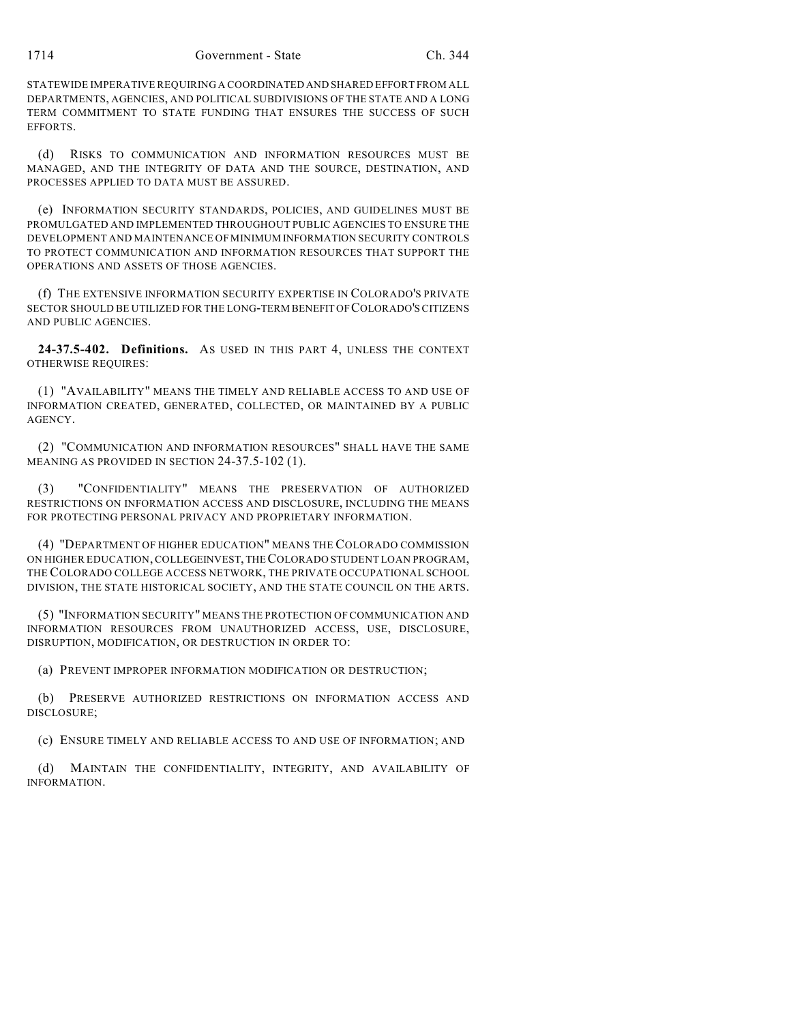STATEWIDE IMPERATIVE REQUIRING A COORDINATED AND SHARED EFFORT FROM ALL DEPARTMENTS, AGENCIES, AND POLITICAL SUBDIVISIONS OF THE STATE AND A LONG TERM COMMITMENT TO STATE FUNDING THAT ENSURES THE SUCCESS OF SUCH EFFORTS.

(d) RISKS TO COMMUNICATION AND INFORMATION RESOURCES MUST BE MANAGED, AND THE INTEGRITY OF DATA AND THE SOURCE, DESTINATION, AND PROCESSES APPLIED TO DATA MUST BE ASSURED.

(e) INFORMATION SECURITY STANDARDS, POLICIES, AND GUIDELINES MUST BE PROMULGATED AND IMPLEMENTED THROUGHOUT PUBLIC AGENCIES TO ENSURE THE DEVELOPMENT AND MAINTENANCE OF MINIMUM INFORMATION SECURITY CONTROLS TO PROTECT COMMUNICATION AND INFORMATION RESOURCES THAT SUPPORT THE OPERATIONS AND ASSETS OF THOSE AGENCIES.

(f) THE EXTENSIVE INFORMATION SECURITY EXPERTISE IN COLORADO'S PRIVATE SECTOR SHOULD BE UTILIZED FOR THE LONG-TERM BENEFIT OF COLORADO'S CITIZENS AND PUBLIC AGENCIES.

**24-37.5-402. Definitions.** AS USED IN THIS PART 4, UNLESS THE CONTEXT OTHERWISE REQUIRES:

(1) "AVAILABILITY" MEANS THE TIMELY AND RELIABLE ACCESS TO AND USE OF INFORMATION CREATED, GENERATED, COLLECTED, OR MAINTAINED BY A PUBLIC AGENCY.

(2) "COMMUNICATION AND INFORMATION RESOURCES" SHALL HAVE THE SAME MEANING AS PROVIDED IN SECTION 24-37.5-102 (1).

(3) "CONFIDENTIALITY" MEANS THE PRESERVATION OF AUTHORIZED RESTRICTIONS ON INFORMATION ACCESS AND DISCLOSURE, INCLUDING THE MEANS FOR PROTECTING PERSONAL PRIVACY AND PROPRIETARY INFORMATION.

(4) "DEPARTMENT OF HIGHER EDUCATION" MEANS THE COLORADO COMMISSION ON HIGHER EDUCATION, COLLEGEINVEST, THE COLORADO STUDENT LOAN PROGRAM, THE COLORADO COLLEGE ACCESS NETWORK, THE PRIVATE OCCUPATIONAL SCHOOL DIVISION, THE STATE HISTORICAL SOCIETY, AND THE STATE COUNCIL ON THE ARTS.

(5) "INFORMATION SECURITY" MEANS THE PROTECTION OF COMMUNICATION AND INFORMATION RESOURCES FROM UNAUTHORIZED ACCESS, USE, DISCLOSURE, DISRUPTION, MODIFICATION, OR DESTRUCTION IN ORDER TO:

(a) PREVENT IMPROPER INFORMATION MODIFICATION OR DESTRUCTION;

(b) PRESERVE AUTHORIZED RESTRICTIONS ON INFORMATION ACCESS AND DISCLOSURE;

(c) ENSURE TIMELY AND RELIABLE ACCESS TO AND USE OF INFORMATION; AND

(d) MAINTAIN THE CONFIDENTIALITY, INTEGRITY, AND AVAILABILITY OF INFORMATION.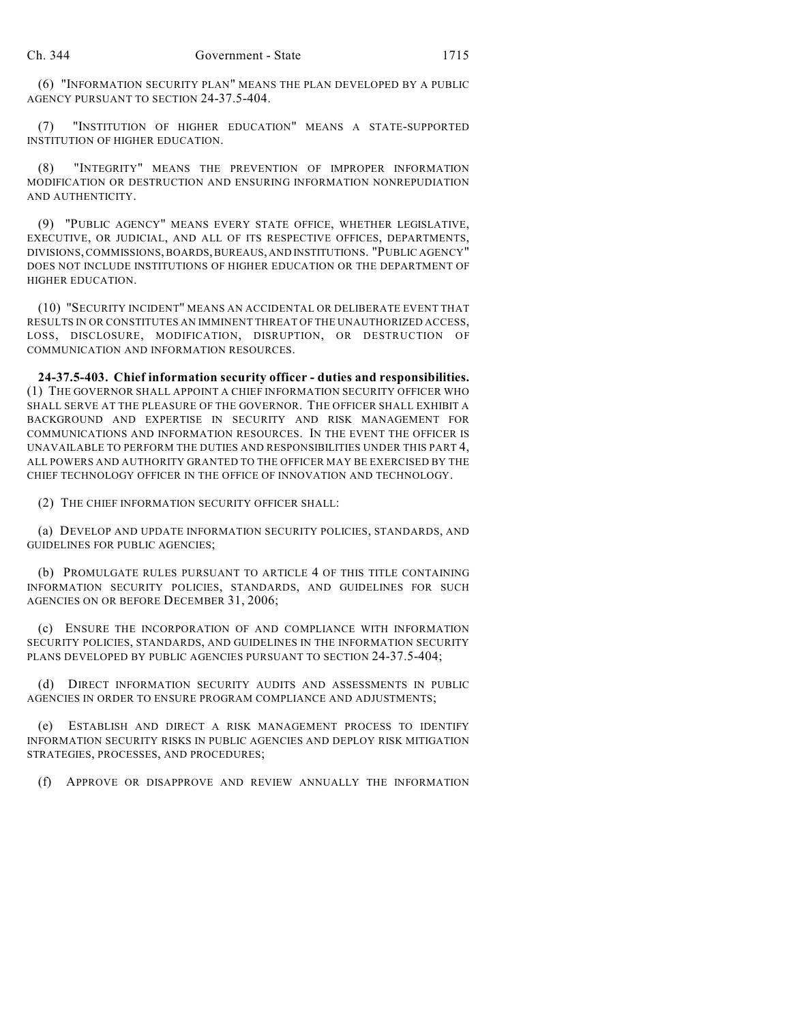(6) "INFORMATION SECURITY PLAN" MEANS THE PLAN DEVELOPED BY A PUBLIC AGENCY PURSUANT TO SECTION 24-37.5-404.

(7) "INSTITUTION OF HIGHER EDUCATION" MEANS A STATE-SUPPORTED INSTITUTION OF HIGHER EDUCATION.

(8) "INTEGRITY" MEANS THE PREVENTION OF IMPROPER INFORMATION MODIFICATION OR DESTRUCTION AND ENSURING INFORMATION NONREPUDIATION AND AUTHENTICITY.

(9) "PUBLIC AGENCY" MEANS EVERY STATE OFFICE, WHETHER LEGISLATIVE, EXECUTIVE, OR JUDICIAL, AND ALL OF ITS RESPECTIVE OFFICES, DEPARTMENTS, DIVISIONS, COMMISSIONS, BOARDS, BUREAUS, AND INSTITUTIONS. "PUBLIC AGENCY" DOES NOT INCLUDE INSTITUTIONS OF HIGHER EDUCATION OR THE DEPARTMENT OF HIGHER EDUCATION.

(10) "SECURITY INCIDENT" MEANS AN ACCIDENTAL OR DELIBERATE EVENT THAT RESULTS IN OR CONSTITUTES AN IMMINENT THREAT OF THE UNAUTHORIZED ACCESS, LOSS, DISCLOSURE, MODIFICATION, DISRUPTION, OR DESTRUCTION OF COMMUNICATION AND INFORMATION RESOURCES.

**24-37.5-403. Chief information security officer - duties and responsibilities.** (1) THE GOVERNOR SHALL APPOINT A CHIEF INFORMATION SECURITY OFFICER WHO SHALL SERVE AT THE PLEASURE OF THE GOVERNOR. THE OFFICER SHALL EXHIBIT A BACKGROUND AND EXPERTISE IN SECURITY AND RISK MANAGEMENT FOR COMMUNICATIONS AND INFORMATION RESOURCES. IN THE EVENT THE OFFICER IS UNAVAILABLE TO PERFORM THE DUTIES AND RESPONSIBILITIES UNDER THIS PART 4, ALL POWERS AND AUTHORITY GRANTED TO THE OFFICER MAY BE EXERCISED BY THE CHIEF TECHNOLOGY OFFICER IN THE OFFICE OF INNOVATION AND TECHNOLOGY.

(2) THE CHIEF INFORMATION SECURITY OFFICER SHALL:

(a) DEVELOP AND UPDATE INFORMATION SECURITY POLICIES, STANDARDS, AND GUIDELINES FOR PUBLIC AGENCIES;

(b) PROMULGATE RULES PURSUANT TO ARTICLE 4 OF THIS TITLE CONTAINING INFORMATION SECURITY POLICIES, STANDARDS, AND GUIDELINES FOR SUCH AGENCIES ON OR BEFORE DECEMBER 31, 2006;

(c) ENSURE THE INCORPORATION OF AND COMPLIANCE WITH INFORMATION SECURITY POLICIES, STANDARDS, AND GUIDELINES IN THE INFORMATION SECURITY PLANS DEVELOPED BY PUBLIC AGENCIES PURSUANT TO SECTION 24-37.5-404;

(d) DIRECT INFORMATION SECURITY AUDITS AND ASSESSMENTS IN PUBLIC AGENCIES IN ORDER TO ENSURE PROGRAM COMPLIANCE AND ADJUSTMENTS;

(e) ESTABLISH AND DIRECT A RISK MANAGEMENT PROCESS TO IDENTIFY INFORMATION SECURITY RISKS IN PUBLIC AGENCIES AND DEPLOY RISK MITIGATION STRATEGIES, PROCESSES, AND PROCEDURES;

(f) APPROVE OR DISAPPROVE AND REVIEW ANNUALLY THE INFORMATION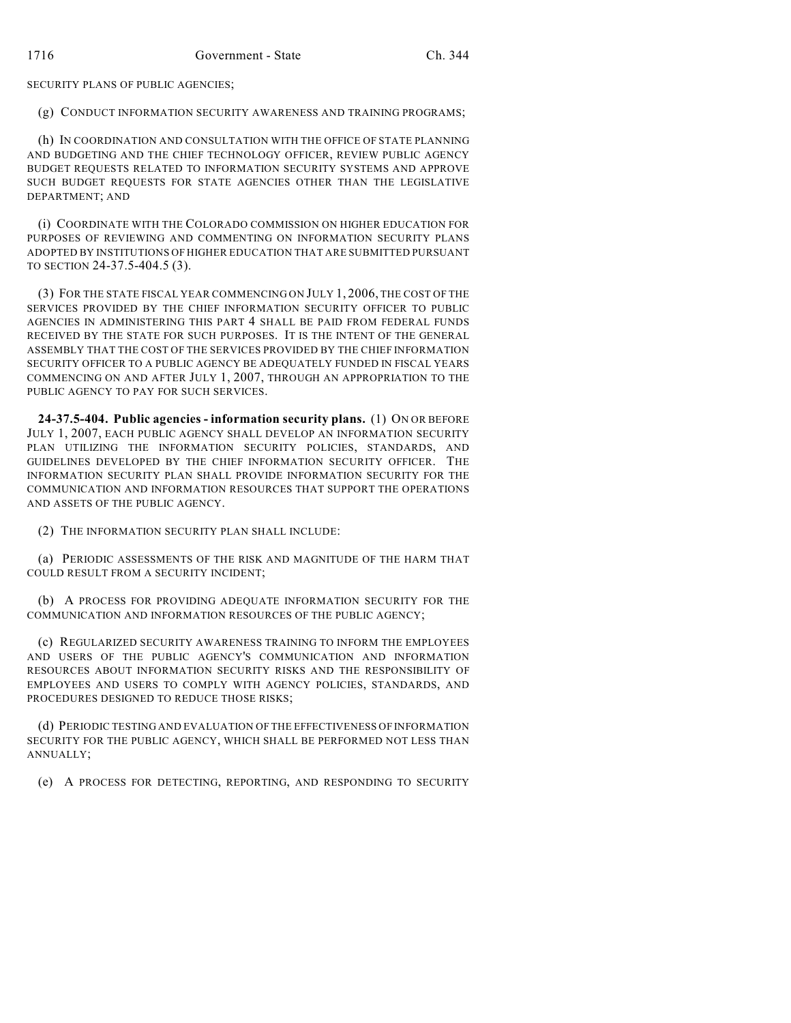SECURITY PLANS OF PUBLIC AGENCIES;

(g) CONDUCT INFORMATION SECURITY AWARENESS AND TRAINING PROGRAMS;

(h) IN COORDINATION AND CONSULTATION WITH THE OFFICE OF STATE PLANNING AND BUDGETING AND THE CHIEF TECHNOLOGY OFFICER, REVIEW PUBLIC AGENCY BUDGET REQUESTS RELATED TO INFORMATION SECURITY SYSTEMS AND APPROVE SUCH BUDGET REQUESTS FOR STATE AGENCIES OTHER THAN THE LEGISLATIVE DEPARTMENT; AND

(i) COORDINATE WITH THE COLORADO COMMISSION ON HIGHER EDUCATION FOR PURPOSES OF REVIEWING AND COMMENTING ON INFORMATION SECURITY PLANS ADOPTED BY INSTITUTIONS OF HIGHER EDUCATION THAT ARE SUBMITTED PURSUANT TO SECTION 24-37.5-404.5 (3).

(3) FOR THE STATE FISCAL YEAR COMMENCING ON JULY 1, 2006, THE COST OF THE SERVICES PROVIDED BY THE CHIEF INFORMATION SECURITY OFFICER TO PUBLIC AGENCIES IN ADMINISTERING THIS PART 4 SHALL BE PAID FROM FEDERAL FUNDS RECEIVED BY THE STATE FOR SUCH PURPOSES. IT IS THE INTENT OF THE GENERAL ASSEMBLY THAT THE COST OF THE SERVICES PROVIDED BY THE CHIEF INFORMATION SECURITY OFFICER TO A PUBLIC AGENCY BE ADEQUATELY FUNDED IN FISCAL YEARS COMMENCING ON AND AFTER JULY 1, 2007, THROUGH AN APPROPRIATION TO THE PUBLIC AGENCY TO PAY FOR SUCH SERVICES.

**24-37.5-404. Public agencies - information security plans.** (1) ON OR BEFORE JULY 1, 2007, EACH PUBLIC AGENCY SHALL DEVELOP AN INFORMATION SECURITY PLAN UTILIZING THE INFORMATION SECURITY POLICIES, STANDARDS, AND GUIDELINES DEVELOPED BY THE CHIEF INFORMATION SECURITY OFFICER. THE INFORMATION SECURITY PLAN SHALL PROVIDE INFORMATION SECURITY FOR THE COMMUNICATION AND INFORMATION RESOURCES THAT SUPPORT THE OPERATIONS AND ASSETS OF THE PUBLIC AGENCY.

(2) THE INFORMATION SECURITY PLAN SHALL INCLUDE:

(a) PERIODIC ASSESSMENTS OF THE RISK AND MAGNITUDE OF THE HARM THAT COULD RESULT FROM A SECURITY INCIDENT;

(b) A PROCESS FOR PROVIDING ADEQUATE INFORMATION SECURITY FOR THE COMMUNICATION AND INFORMATION RESOURCES OF THE PUBLIC AGENCY;

(c) REGULARIZED SECURITY AWARENESS TRAINING TO INFORM THE EMPLOYEES AND USERS OF THE PUBLIC AGENCY'S COMMUNICATION AND INFORMATION RESOURCES ABOUT INFORMATION SECURITY RISKS AND THE RESPONSIBILITY OF EMPLOYEES AND USERS TO COMPLY WITH AGENCY POLICIES, STANDARDS, AND PROCEDURES DESIGNED TO REDUCE THOSE RISKS;

(d) PERIODIC TESTING AND EVALUATION OF THE EFFECTIVENESS OF INFORMATION SECURITY FOR THE PUBLIC AGENCY, WHICH SHALL BE PERFORMED NOT LESS THAN ANNUALLY;

(e) A PROCESS FOR DETECTING, REPORTING, AND RESPONDING TO SECURITY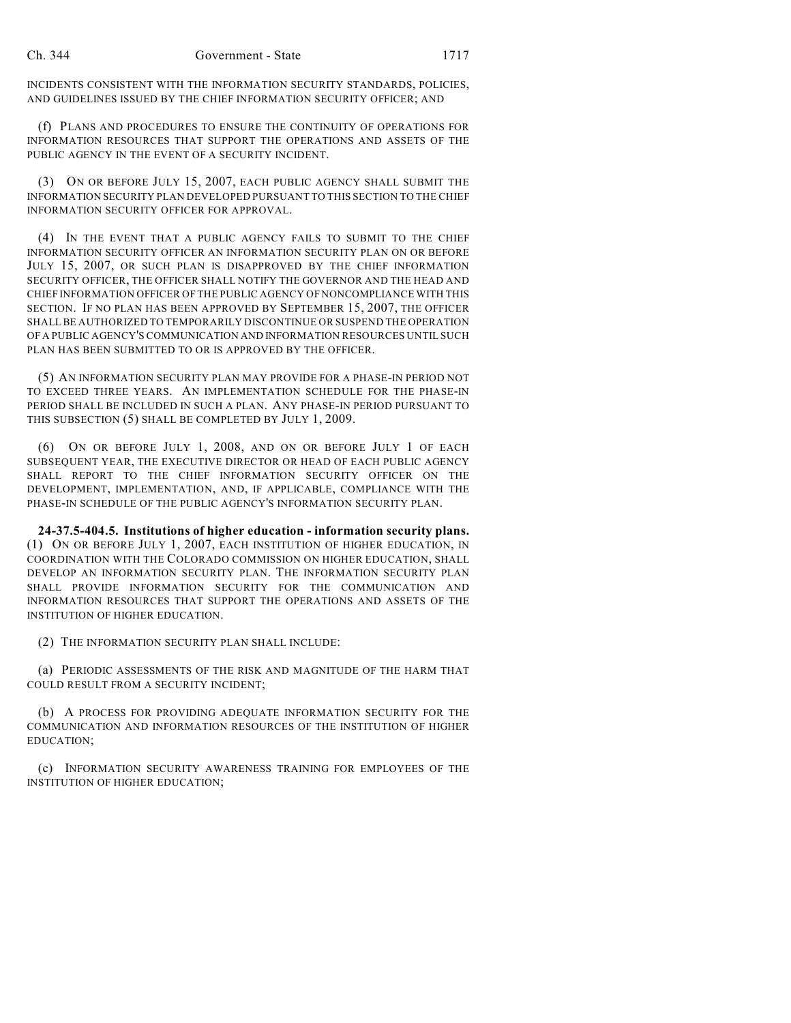INCIDENTS CONSISTENT WITH THE INFORMATION SECURITY STANDARDS, POLICIES, AND GUIDELINES ISSUED BY THE CHIEF INFORMATION SECURITY OFFICER; AND

(f) PLANS AND PROCEDURES TO ENSURE THE CONTINUITY OF OPERATIONS FOR INFORMATION RESOURCES THAT SUPPORT THE OPERATIONS AND ASSETS OF THE PUBLIC AGENCY IN THE EVENT OF A SECURITY INCIDENT.

(3) ON OR BEFORE JULY 15, 2007, EACH PUBLIC AGENCY SHALL SUBMIT THE INFORMATION SECURITY PLAN DEVELOPED PURSUANT TO THIS SECTION TO THE CHIEF INFORMATION SECURITY OFFICER FOR APPROVAL.

(4) IN THE EVENT THAT A PUBLIC AGENCY FAILS TO SUBMIT TO THE CHIEF INFORMATION SECURITY OFFICER AN INFORMATION SECURITY PLAN ON OR BEFORE JULY 15, 2007, OR SUCH PLAN IS DISAPPROVED BY THE CHIEF INFORMATION SECURITY OFFICER, THE OFFICER SHALL NOTIFY THE GOVERNOR AND THE HEAD AND CHIEF INFORMATION OFFICER OF THE PUBLIC AGENCY OF NONCOMPLIANCE WITH THIS SECTION. IF NO PLAN HAS BEEN APPROVED BY SEPTEMBER 15, 2007, THE OFFICER SHALL BE AUTHORIZED TO TEMPORARILY DISCONTINUE OR SUSPEND THE OPERATION OF A PUBLIC AGENCY'S COMMUNICATION AND INFORMATION RESOURCES UNTIL SUCH PLAN HAS BEEN SUBMITTED TO OR IS APPROVED BY THE OFFICER.

(5) AN INFORMATION SECURITY PLAN MAY PROVIDE FOR A PHASE-IN PERIOD NOT TO EXCEED THREE YEARS. AN IMPLEMENTATION SCHEDULE FOR THE PHASE-IN PERIOD SHALL BE INCLUDED IN SUCH A PLAN. ANY PHASE-IN PERIOD PURSUANT TO THIS SUBSECTION (5) SHALL BE COMPLETED BY JULY 1, 2009.

(6) ON OR BEFORE JULY 1, 2008, AND ON OR BEFORE JULY 1 OF EACH SUBSEQUENT YEAR, THE EXECUTIVE DIRECTOR OR HEAD OF EACH PUBLIC AGENCY SHALL REPORT TO THE CHIEF INFORMATION SECURITY OFFICER ON THE DEVELOPMENT, IMPLEMENTATION, AND, IF APPLICABLE, COMPLIANCE WITH THE PHASE-IN SCHEDULE OF THE PUBLIC AGENCY'S INFORMATION SECURITY PLAN.

**24-37.5-404.5. Institutions of higher education - information security plans.** (1) ON OR BEFORE JULY 1, 2007, EACH INSTITUTION OF HIGHER EDUCATION, IN COORDINATION WITH THE COLORADO COMMISSION ON HIGHER EDUCATION, SHALL DEVELOP AN INFORMATION SECURITY PLAN. THE INFORMATION SECURITY PLAN SHALL PROVIDE INFORMATION SECURITY FOR THE COMMUNICATION AND INFORMATION RESOURCES THAT SUPPORT THE OPERATIONS AND ASSETS OF THE INSTITUTION OF HIGHER EDUCATION.

(2) THE INFORMATION SECURITY PLAN SHALL INCLUDE:

(a) PERIODIC ASSESSMENTS OF THE RISK AND MAGNITUDE OF THE HARM THAT COULD RESULT FROM A SECURITY INCIDENT;

(b) A PROCESS FOR PROVIDING ADEQUATE INFORMATION SECURITY FOR THE COMMUNICATION AND INFORMATION RESOURCES OF THE INSTITUTION OF HIGHER EDUCATION;

(c) INFORMATION SECURITY AWARENESS TRAINING FOR EMPLOYEES OF THE INSTITUTION OF HIGHER EDUCATION;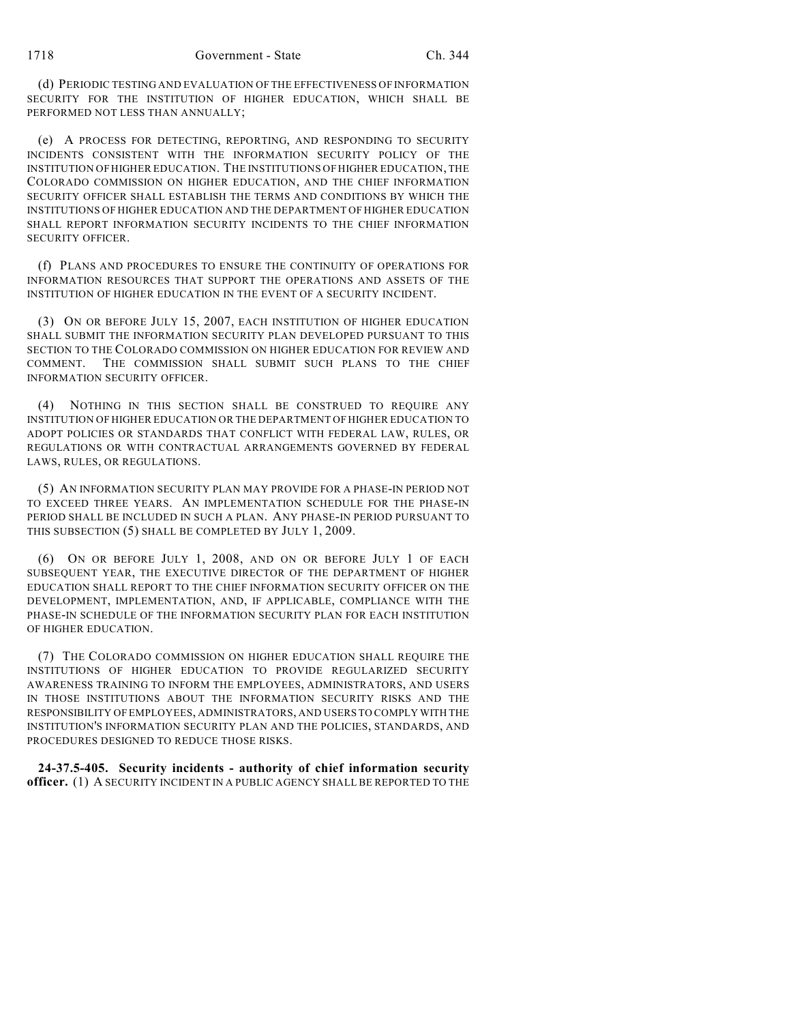(d) PERIODIC TESTING AND EVALUATION OF THE EFFECTIVENESS OF INFORMATION SECURITY FOR THE INSTITUTION OF HIGHER EDUCATION, WHICH SHALL BE PERFORMED NOT LESS THAN ANNUALLY;

(e) A PROCESS FOR DETECTING, REPORTING, AND RESPONDING TO SECURITY INCIDENTS CONSISTENT WITH THE INFORMATION SECURITY POLICY OF THE INSTITUTION OF HIGHER EDUCATION. THE INSTITUTIONS OF HIGHER EDUCATION, THE COLORADO COMMISSION ON HIGHER EDUCATION, AND THE CHIEF INFORMATION SECURITY OFFICER SHALL ESTABLISH THE TERMS AND CONDITIONS BY WHICH THE INSTITUTIONS OF HIGHER EDUCATION AND THE DEPARTMENT OF HIGHER EDUCATION SHALL REPORT INFORMATION SECURITY INCIDENTS TO THE CHIEF INFORMATION SECURITY OFFICER.

(f) PLANS AND PROCEDURES TO ENSURE THE CONTINUITY OF OPERATIONS FOR INFORMATION RESOURCES THAT SUPPORT THE OPERATIONS AND ASSETS OF THE INSTITUTION OF HIGHER EDUCATION IN THE EVENT OF A SECURITY INCIDENT.

(3) ON OR BEFORE JULY 15, 2007, EACH INSTITUTION OF HIGHER EDUCATION SHALL SUBMIT THE INFORMATION SECURITY PLAN DEVELOPED PURSUANT TO THIS SECTION TO THE COLORADO COMMISSION ON HIGHER EDUCATION FOR REVIEW AND COMMENT. THE COMMISSION SHALL SUBMIT SUCH PLANS TO THE CHIEF INFORMATION SECURITY OFFICER.

(4) NOTHING IN THIS SECTION SHALL BE CONSTRUED TO REQUIRE ANY INSTITUTION OF HIGHER EDUCATION OR THE DEPARTMENT OF HIGHER EDUCATION TO ADOPT POLICIES OR STANDARDS THAT CONFLICT WITH FEDERAL LAW, RULES, OR REGULATIONS OR WITH CONTRACTUAL ARRANGEMENTS GOVERNED BY FEDERAL LAWS, RULES, OR REGULATIONS.

(5) AN INFORMATION SECURITY PLAN MAY PROVIDE FOR A PHASE-IN PERIOD NOT TO EXCEED THREE YEARS. AN IMPLEMENTATION SCHEDULE FOR THE PHASE-IN PERIOD SHALL BE INCLUDED IN SUCH A PLAN. ANY PHASE-IN PERIOD PURSUANT TO THIS SUBSECTION (5) SHALL BE COMPLETED BY JULY 1, 2009.

(6) ON OR BEFORE JULY 1, 2008, AND ON OR BEFORE JULY 1 OF EACH SUBSEQUENT YEAR, THE EXECUTIVE DIRECTOR OF THE DEPARTMENT OF HIGHER EDUCATION SHALL REPORT TO THE CHIEF INFORMATION SECURITY OFFICER ON THE DEVELOPMENT, IMPLEMENTATION, AND, IF APPLICABLE, COMPLIANCE WITH THE PHASE-IN SCHEDULE OF THE INFORMATION SECURITY PLAN FOR EACH INSTITUTION OF HIGHER EDUCATION.

(7) THE COLORADO COMMISSION ON HIGHER EDUCATION SHALL REQUIRE THE INSTITUTIONS OF HIGHER EDUCATION TO PROVIDE REGULARIZED SECURITY AWARENESS TRAINING TO INFORM THE EMPLOYEES, ADMINISTRATORS, AND USERS IN THOSE INSTITUTIONS ABOUT THE INFORMATION SECURITY RISKS AND THE RESPONSIBILITY OF EMPLOYEES, ADMINISTRATORS, AND USERS TO COMPLY WITH THE INSTITUTION'S INFORMATION SECURITY PLAN AND THE POLICIES, STANDARDS, AND PROCEDURES DESIGNED TO REDUCE THOSE RISKS.

**24-37.5-405. Security incidents - authority of chief information security officer.** (1) A SECURITY INCIDENT IN A PUBLIC AGENCY SHALL BE REPORTED TO THE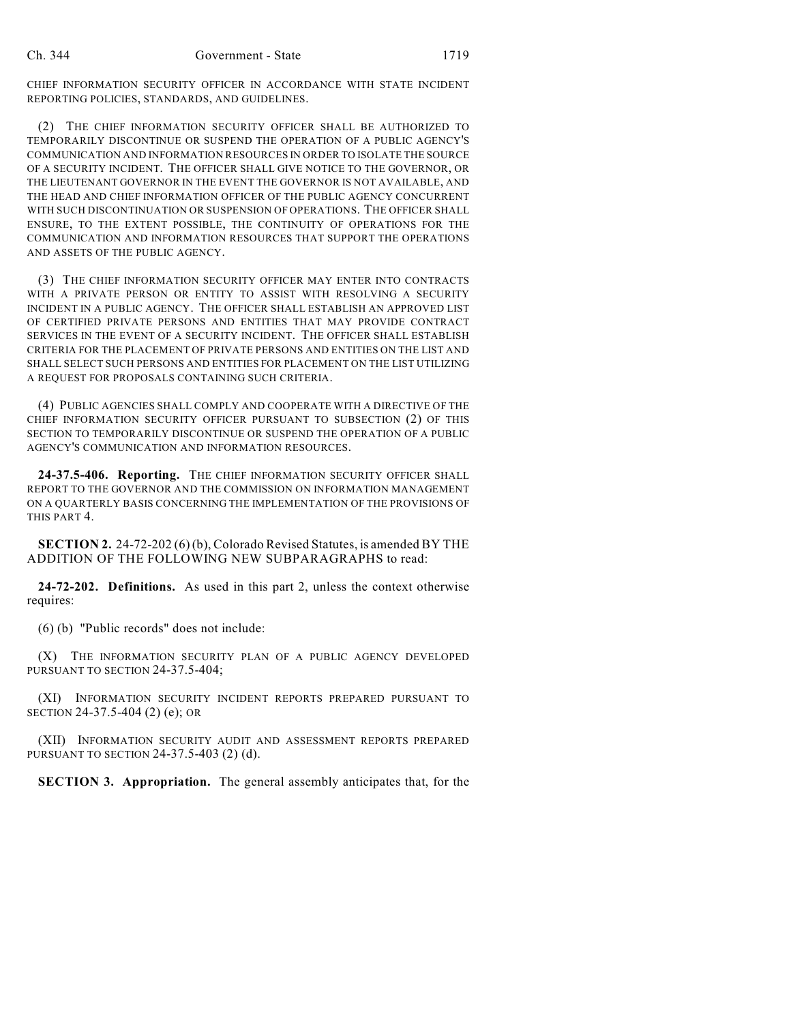CHIEF INFORMATION SECURITY OFFICER IN ACCORDANCE WITH STATE INCIDENT REPORTING POLICIES, STANDARDS, AND GUIDELINES.

(2) THE CHIEF INFORMATION SECURITY OFFICER SHALL BE AUTHORIZED TO TEMPORARILY DISCONTINUE OR SUSPEND THE OPERATION OF A PUBLIC AGENCY'S COMMUNICATION AND INFORMATION RESOURCES IN ORDER TO ISOLATE THE SOURCE OF A SECURITY INCIDENT. THE OFFICER SHALL GIVE NOTICE TO THE GOVERNOR, OR THE LIEUTENANT GOVERNOR IN THE EVENT THE GOVERNOR IS NOT AVAILABLE, AND THE HEAD AND CHIEF INFORMATION OFFICER OF THE PUBLIC AGENCY CONCURRENT WITH SUCH DISCONTINUATION OR SUSPENSION OF OPERATIONS. THE OFFICER SHALL ENSURE, TO THE EXTENT POSSIBLE, THE CONTINUITY OF OPERATIONS FOR THE COMMUNICATION AND INFORMATION RESOURCES THAT SUPPORT THE OPERATIONS AND ASSETS OF THE PUBLIC AGENCY.

(3) THE CHIEF INFORMATION SECURITY OFFICER MAY ENTER INTO CONTRACTS WITH A PRIVATE PERSON OR ENTITY TO ASSIST WITH RESOLVING A SECURITY INCIDENT IN A PUBLIC AGENCY. THE OFFICER SHALL ESTABLISH AN APPROVED LIST OF CERTIFIED PRIVATE PERSONS AND ENTITIES THAT MAY PROVIDE CONTRACT SERVICES IN THE EVENT OF A SECURITY INCIDENT. THE OFFICER SHALL ESTABLISH CRITERIA FOR THE PLACEMENT OF PRIVATE PERSONS AND ENTITIES ON THE LIST AND SHALL SELECT SUCH PERSONS AND ENTITIES FOR PLACEMENT ON THE LIST UTILIZING A REQUEST FOR PROPOSALS CONTAINING SUCH CRITERIA.

(4) PUBLIC AGENCIES SHALL COMPLY AND COOPERATE WITH A DIRECTIVE OF THE CHIEF INFORMATION SECURITY OFFICER PURSUANT TO SUBSECTION (2) OF THIS SECTION TO TEMPORARILY DISCONTINUE OR SUSPEND THE OPERATION OF A PUBLIC AGENCY'S COMMUNICATION AND INFORMATION RESOURCES.

**24-37.5-406. Reporting.** THE CHIEF INFORMATION SECURITY OFFICER SHALL REPORT TO THE GOVERNOR AND THE COMMISSION ON INFORMATION MANAGEMENT ON A QUARTERLY BASIS CONCERNING THE IMPLEMENTATION OF THE PROVISIONS OF THIS PART 4.

**SECTION 2.** 24-72-202 (6) (b), Colorado Revised Statutes, is amended BY THE ADDITION OF THE FOLLOWING NEW SUBPARAGRAPHS to read:

**24-72-202. Definitions.** As used in this part 2, unless the context otherwise requires:

(6) (b) "Public records" does not include:

(X) THE INFORMATION SECURITY PLAN OF A PUBLIC AGENCY DEVELOPED PURSUANT TO SECTION 24-37.5-404;

(XI) INFORMATION SECURITY INCIDENT REPORTS PREPARED PURSUANT TO SECTION 24-37.5-404 (2) (e); OR

(XII) INFORMATION SECURITY AUDIT AND ASSESSMENT REPORTS PREPARED PURSUANT TO SECTION 24-37.5-403 (2) (d).

**SECTION 3. Appropriation.** The general assembly anticipates that, for the